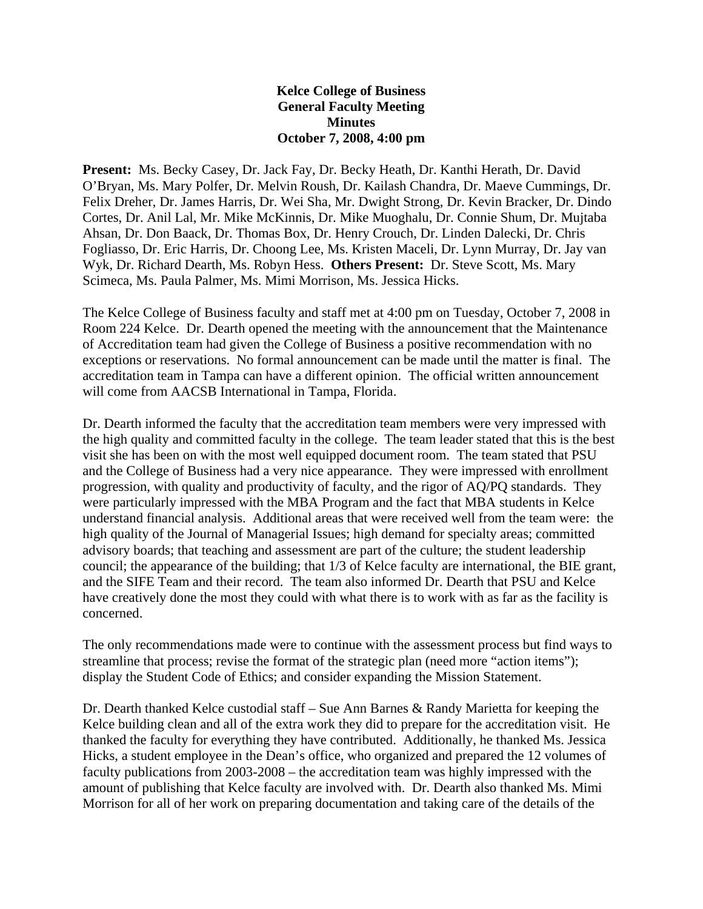## **Kelce College of Business General Faculty Meeting Minutes October 7, 2008, 4:00 pm**

**Present:** Ms. Becky Casey, Dr. Jack Fay, Dr. Becky Heath, Dr. Kanthi Herath, Dr. David O'Bryan, Ms. Mary Polfer, Dr. Melvin Roush, Dr. Kailash Chandra, Dr. Maeve Cummings, Dr. Felix Dreher, Dr. James Harris, Dr. Wei Sha, Mr. Dwight Strong, Dr. Kevin Bracker, Dr. Dindo Cortes, Dr. Anil Lal, Mr. Mike McKinnis, Dr. Mike Muoghalu, Dr. Connie Shum, Dr. Mujtaba Ahsan, Dr. Don Baack, Dr. Thomas Box, Dr. Henry Crouch, Dr. Linden Dalecki, Dr. Chris Fogliasso, Dr. Eric Harris, Dr. Choong Lee, Ms. Kristen Maceli, Dr. Lynn Murray, Dr. Jay van Wyk, Dr. Richard Dearth, Ms. Robyn Hess. **Others Present:** Dr. Steve Scott, Ms. Mary Scimeca, Ms. Paula Palmer, Ms. Mimi Morrison, Ms. Jessica Hicks.

The Kelce College of Business faculty and staff met at 4:00 pm on Tuesday, October 7, 2008 in Room 224 Kelce. Dr. Dearth opened the meeting with the announcement that the Maintenance of Accreditation team had given the College of Business a positive recommendation with no exceptions or reservations. No formal announcement can be made until the matter is final. The accreditation team in Tampa can have a different opinion. The official written announcement will come from AACSB International in Tampa, Florida.

Dr. Dearth informed the faculty that the accreditation team members were very impressed with the high quality and committed faculty in the college. The team leader stated that this is the best visit she has been on with the most well equipped document room. The team stated that PSU and the College of Business had a very nice appearance. They were impressed with enrollment progression, with quality and productivity of faculty, and the rigor of AQ/PQ standards. They were particularly impressed with the MBA Program and the fact that MBA students in Kelce understand financial analysis. Additional areas that were received well from the team were: the high quality of the Journal of Managerial Issues; high demand for specialty areas; committed advisory boards; that teaching and assessment are part of the culture; the student leadership council; the appearance of the building; that 1/3 of Kelce faculty are international, the BIE grant, and the SIFE Team and their record. The team also informed Dr. Dearth that PSU and Kelce have creatively done the most they could with what there is to work with as far as the facility is concerned.

The only recommendations made were to continue with the assessment process but find ways to streamline that process; revise the format of the strategic plan (need more "action items"); display the Student Code of Ethics; and consider expanding the Mission Statement.

Dr. Dearth thanked Kelce custodial staff – Sue Ann Barnes & Randy Marietta for keeping the Kelce building clean and all of the extra work they did to prepare for the accreditation visit. He thanked the faculty for everything they have contributed. Additionally, he thanked Ms. Jessica Hicks, a student employee in the Dean's office, who organized and prepared the 12 volumes of faculty publications from 2003-2008 – the accreditation team was highly impressed with the amount of publishing that Kelce faculty are involved with. Dr. Dearth also thanked Ms. Mimi Morrison for all of her work on preparing documentation and taking care of the details of the